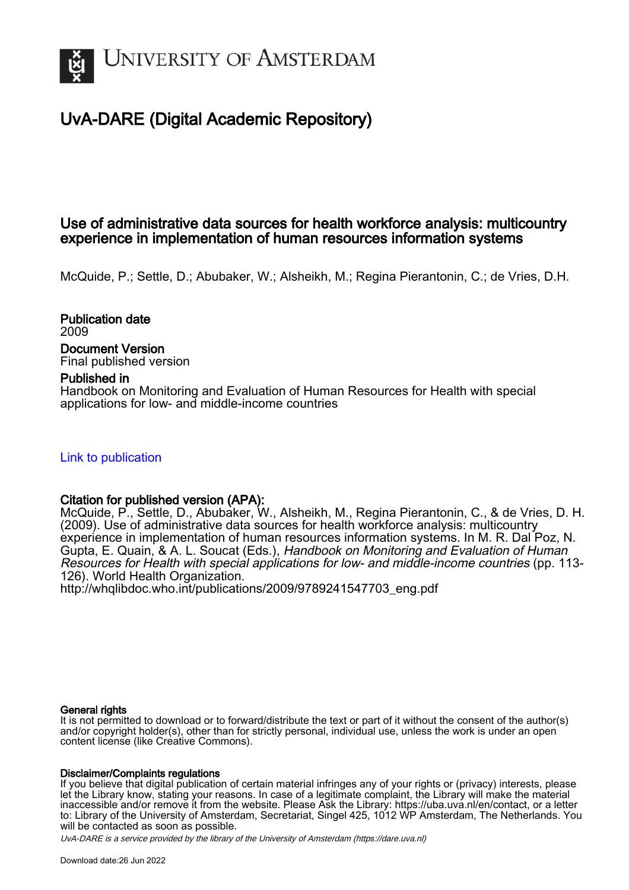

# UvA-DARE (Digital Academic Repository)

## Use of administrative data sources for health workforce analysis: multicountry experience in implementation of human resources information systems

McQuide, P.; Settle, D.; Abubaker, W.; Alsheikh, M.; Regina Pierantonin, C.; de Vries, D.H.

Publication date 2009 Document Version Final published version

#### Published in

Handbook on Monitoring and Evaluation of Human Resources for Health with special applications for low- and middle-income countries

[Link to publication](https://dare.uva.nl/personal/pure/en/publications/use-of-administrative-data-sources-for-health-workforce-analysis-multicountry-experience-in-implementation-of-human-resources-information-systems(9f6cdf51-ba59-4285-b7b7-502516ef5278).html)

#### Citation for published version (APA):

McQuide, P., Settle, D., Abubaker, W., Alsheikh, M., Regina Pierantonin, C., & de Vries, D. H. (2009). Use of administrative data sources for health workforce analysis: multicountry experience in implementation of human resources information systems. In M. R. Dal Poz, N. Gupta, E. Quain, & A. L. Soucat (Eds.), Handbook on Monitoring and Evaluation of Human Resources for Health with special applications for low- and middle-income countries (pp. 113- 126). World Health Organization.

[http://whqlibdoc.who.int/publications/2009/9789241547703\\_eng.pdf](http://whqlibdoc.who.int/publications/2009/9789241547703_eng.pdf)

#### General rights

It is not permitted to download or to forward/distribute the text or part of it without the consent of the author(s) and/or copyright holder(s), other than for strictly personal, individual use, unless the work is under an open content license (like Creative Commons).

#### Disclaimer/Complaints regulations

If you believe that digital publication of certain material infringes any of your rights or (privacy) interests, please let the Library know, stating your reasons. In case of a legitimate complaint, the Library will make the material inaccessible and/or remove it from the website. Please Ask the Library: https://uba.uva.nl/en/contact, or a letter to: Library of the University of Amsterdam, Secretariat, Singel 425, 1012 WP Amsterdam, The Netherlands. You will be contacted as soon as possible.

UvA-DARE is a service provided by the library of the University of Amsterdam (http*s*://dare.uva.nl)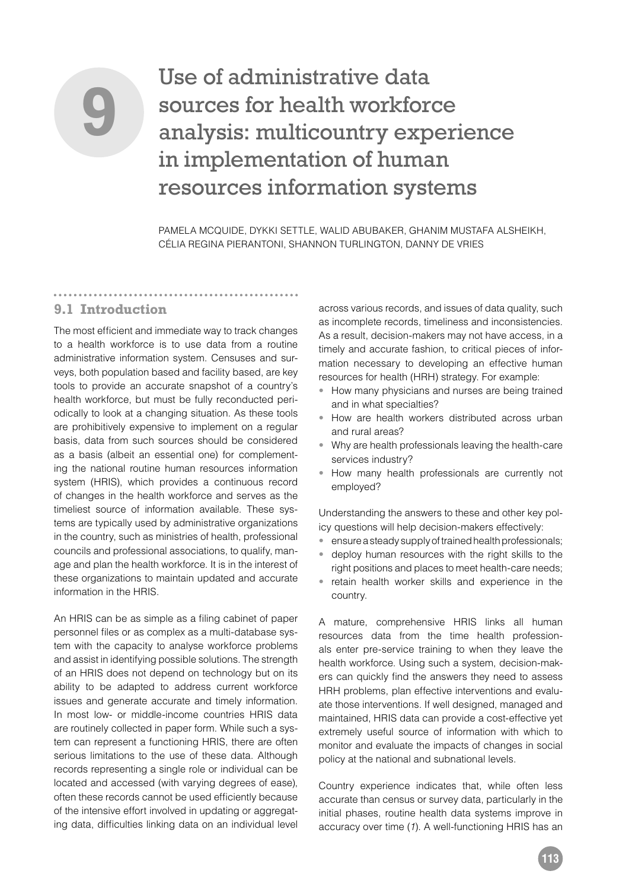**9**

# Use of administrative data sources for health workforce analysis: multicountry experience in implementation of human resources information systems

PAMELA MCQUIDE, DYKKI SETTLE, WALID ABUBAKER, GHANIM MUSTAFA ALSHEIKH, CÉLIA REGINA PIERANTONI, SHANNON TURLINGTON, DANNY DE VRIES

#### **9.1 Introduction**

The most efficient and immediate way to track changes to a health workforce is to use data from a routine administrative information system. Censuses and surveys, both population based and facility based, are key tools to provide an accurate snapshot of a country's health workforce, but must be fully reconducted periodically to look at a changing situation. As these tools are prohibitively expensive to implement on a regular basis, data from such sources should be considered as a basis (albeit an essential one) for complementing the national routine human resources information system (HRIS), which provides a continuous record of changes in the health workforce and serves as the timeliest source of information available. These systems are typically used by administrative organizations in the country, such as ministries of health, professional councils and professional associations, to qualify, manage and plan the health workforce. It is in the interest of these organizations to maintain updated and accurate information in the HRIS.

An HRIS can be as simple as a filing cabinet of paper personnel files or as complex as a multi-database system with the capacity to analyse workforce problems and assist in identifying possible solutions. The strength of an HRIS does not depend on technology but on its ability to be adapted to address current workforce issues and generate accurate and timely information. In most low- or middle-income countries HRIS data are routinely collected in paper form. While such a system can represent a functioning HRIS, there are often serious limitations to the use of these data. Although records representing a single role or individual can be located and accessed (with varying degrees of ease), often these records cannot be used efficiently because of the intensive effort involved in updating or aggregating data, difficulties linking data on an individual level across various records, and issues of data quality, such as incomplete records, timeliness and inconsistencies. As a result, decision-makers may not have access, in a timely and accurate fashion, to critical pieces of information necessary to developing an effective human resources for health (HRH) strategy. For example:

- How many physicians and nurses are being trained and in what specialties?
- How are health workers distributed across urban and rural areas?
- Why are health professionals leaving the health-care services industry?
- How many health professionals are currently not employed?

Understanding the answers to these and other key policy questions will help decision-makers effectively:

- $\bullet$  ensure a steady supply of trained health professionals;
- deploy human resources with the right skills to the right positions and places to meet health-care needs;
- retain health worker skills and experience in the country.

A mature, comprehensive HRIS links all human resources data from the time health professionals enter pre-service training to when they leave the health workforce. Using such a system, decision-makers can quickly find the answers they need to assess HRH problems, plan effective interventions and evaluate those interventions. If well designed, managed and maintained, HRIS data can provide a cost-effective yet extremely useful source of information with which to monitor and evaluate the impacts of changes in social policy at the national and subnational levels.

Country experience indicates that, while often less accurate than census or survey data, particularly in the initial phases, routine health data systems improve in accuracy over time (1). A well-functioning HRIS has an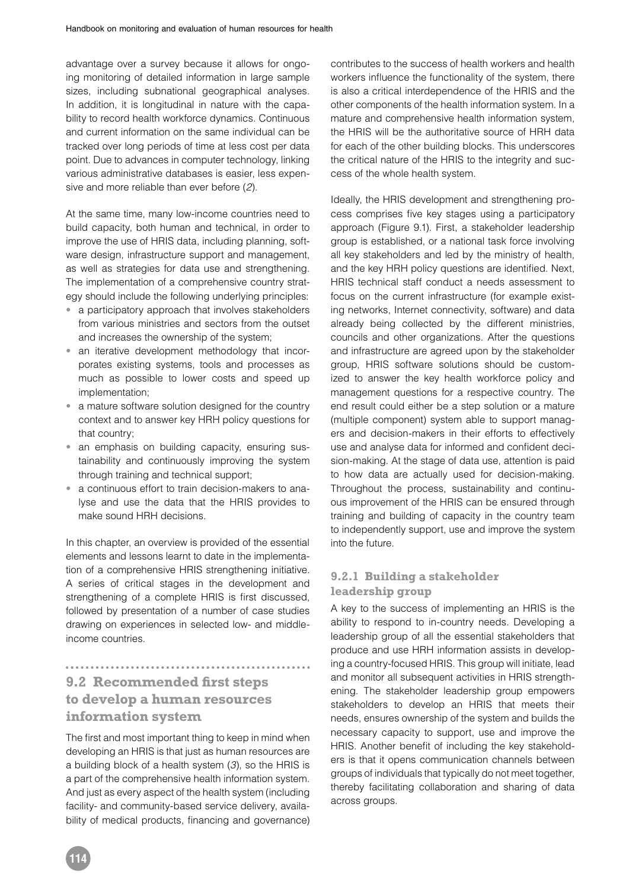advantage over a survey because it allows for ongoing monitoring of detailed information in large sample sizes, including subnational geographical analyses. In addition, it is longitudinal in nature with the capability to record health workforce dynamics. Continuous and current information on the same individual can be tracked over long periods of time at less cost per data point. Due to advances in computer technology, linking various administrative databases is easier, less expensive and more reliable than ever before (2).

At the same time, many low-income countries need to build capacity, both human and technical, in order to improve the use of HRIS data, including planning, software design, infrastructure support and management, as well as strategies for data use and strengthening. The implementation of a comprehensive country strategy should include the following underlying principles:

- a participatory approach that involves stakeholders from various ministries and sectors from the outset and increases the ownership of the system;
- an iterative development methodology that incorporates existing systems, tools and processes as much as possible to lower costs and speed up implementation;
- a mature software solution designed for the country context and to answer key HRH policy questions for that country;
- an emphasis on building capacity, ensuring sustainability and continuously improving the system through training and technical support;
- a continuous effort to train decision-makers to analyse and use the data that the HRIS provides to make sound HRH decisions.

In this chapter, an overview is provided of the essential elements and lessons learnt to date in the implementation of a comprehensive HRIS strengthening initiative. A series of critical stages in the development and strengthening of a complete HRIS is first discussed, followed by presentation of a number of case studies drawing on experiences in selected low- and middleincome countries.

## **9.2 Recommended first steps to develop a human resources information system**

The first and most important thing to keep in mind when developing an HRIS is that just as human resources are a building block of a health system (3), so the HRIS is a part of the comprehensive health information system. And just as every aspect of the health system (including facility- and community-based service delivery, availability of medical products, financing and governance) contributes to the success of health workers and health workers influence the functionality of the system, there is also a critical interdependence of the HRIS and the other components of the health information system. In a mature and comprehensive health information system, the HRIS will be the authoritative source of HRH data for each of the other building blocks. This underscores the critical nature of the HRIS to the integrity and success of the whole health system.

Ideally, the HRIS development and strengthening process comprises five key stages using a participatory approach (Figure 9.1). First, a stakeholder leadership group is established, or a national task force involving all key stakeholders and led by the ministry of health, and the key HRH policy questions are identified. Next, HRIS technical staff conduct a needs assessment to focus on the current infrastructure (for example existing networks, Internet connectivity, software) and data already being collected by the different ministries, councils and other organizations. After the questions and infrastructure are agreed upon by the stakeholder group, HRIS software solutions should be customized to answer the key health workforce policy and management questions for a respective country. The end result could either be a step solution or a mature (multiple component) system able to support managers and decision-makers in their efforts to effectively use and analyse data for informed and confident decision-making. At the stage of data use, attention is paid to how data are actually used for decision-making. Throughout the process, sustainability and continuous improvement of the HRIS can be ensured through training and building of capacity in the country team to independently support, use and improve the system into the future.

#### **9.2.1 Building a stakeholder leadership group**

A key to the success of implementing an HRIS is the ability to respond to in-country needs. Developing a leadership group of all the essential stakeholders that produce and use HRH information assists in developing a country-focused HRIS. This group will initiate, lead and monitor all subsequent activities in HRIS strengthening. The stakeholder leadership group empowers stakeholders to develop an HRIS that meets their needs, ensures ownership of the system and builds the necessary capacity to support, use and improve the HRIS. Another benefit of including the key stakeholders is that it opens communication channels between groups of individuals that typically do not meet together, thereby facilitating collaboration and sharing of data across groups.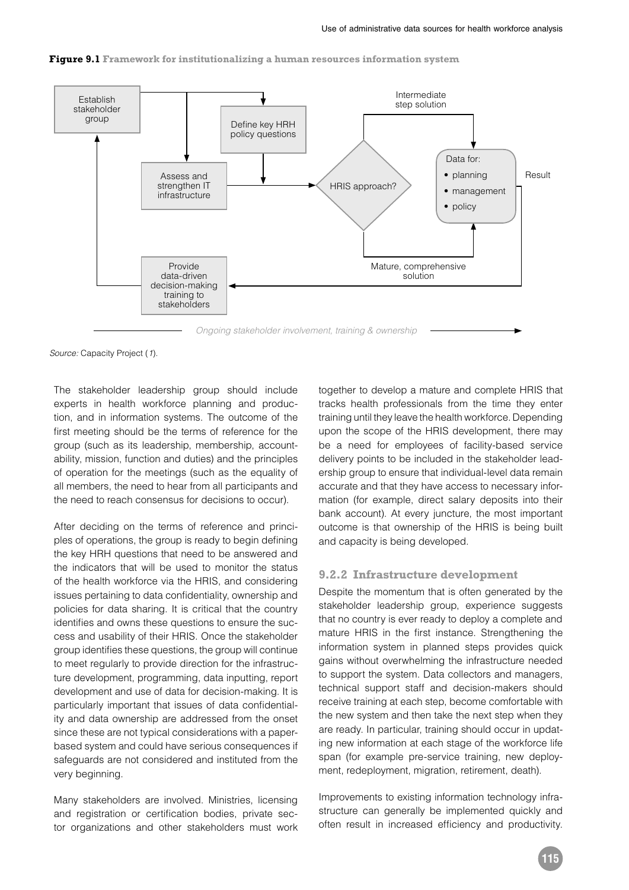**Figure 9.1 Framework for institutionalizing a human resources information system**



Source: Capacity Project (1).

The stakeholder leadership group should include experts in health workforce planning and production, and in information systems. The outcome of the first meeting should be the terms of reference for the group (such as its leadership, membership, accountability, mission, function and duties) and the principles of operation for the meetings (such as the equality of all members, the need to hear from all participants and the need to reach consensus for decisions to occur).

After deciding on the terms of reference and principles of operations, the group is ready to begin defining the key HRH questions that need to be answered and the indicators that will be used to monitor the status of the health workforce via the HRIS, and considering issues pertaining to data confidentiality, ownership and policies for data sharing. It is critical that the country identifies and owns these questions to ensure the success and usability of their HRIS. Once the stakeholder group identifies these questions, the group will continue to meet regularly to provide direction for the infrastructure development, programming, data inputting, report development and use of data for decision-making. It is particularly important that issues of data confidentiality and data ownership are addressed from the onset since these are not typical considerations with a paperbased system and could have serious consequences if safeguards are not considered and instituted from the very beginning.

Many stakeholders are involved. Ministries, licensing and registration or certification bodies, private sector organizations and other stakeholders must work together to develop a mature and complete HRIS that tracks health professionals from the time they enter training until they leave the health workforce. Depending upon the scope of the HRIS development, there may be a need for employees of facility-based service delivery points to be included in the stakeholder leadership group to ensure that individual-level data remain accurate and that they have access to necessary information (for example, direct salary deposits into their bank account). At every juncture, the most important outcome is that ownership of the HRIS is being built and capacity is being developed.

#### **9.2.2 Infrastructure development**

Despite the momentum that is often generated by the stakeholder leadership group, experience suggests that no country is ever ready to deploy a complete and mature HRIS in the first instance. Strengthening the information system in planned steps provides quick gains without overwhelming the infrastructure needed to support the system. Data collectors and managers, technical support staff and decision-makers should receive training at each step, become comfortable with the new system and then take the next step when they are ready. In particular, training should occur in updating new information at each stage of the workforce life span (for example pre-service training, new deployment, redeployment, migration, retirement, death).

Improvements to existing information technology infrastructure can generally be implemented quickly and often result in increased efficiency and productivity.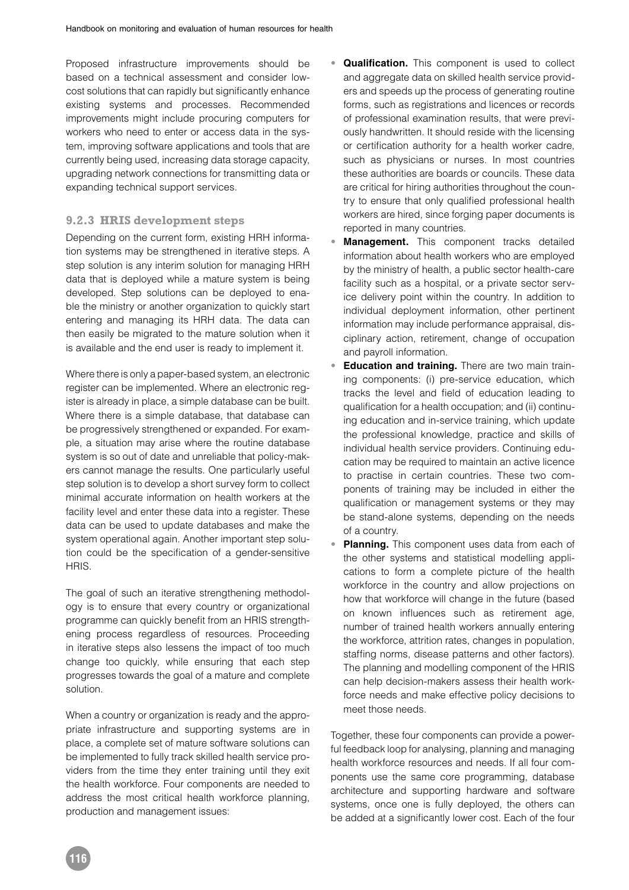Proposed infrastructure improvements should be based on a technical assessment and consider lowcost solutions that can rapidly but significantly enhance existing systems and processes. Recommended improvements might include procuring computers for workers who need to enter or access data in the system, improving software applications and tools that are currently being used, increasing data storage capacity, upgrading network connections for transmitting data or expanding technical support services.

#### **9.2.3 HRIS development steps**

Depending on the current form, existing HRH information systems may be strengthened in iterative steps. A step solution is any interim solution for managing HRH data that is deployed while a mature system is being developed. Step solutions can be deployed to enable the ministry or another organization to quickly start entering and managing its HRH data. The data can then easily be migrated to the mature solution when it is available and the end user is ready to implement it.

Where there is only a paper-based system, an electronic register can be implemented. Where an electronic register is already in place, a simple database can be built. Where there is a simple database, that database can be progressively strengthened or expanded. For example, a situation may arise where the routine database system is so out of date and unreliable that policy-makers cannot manage the results. One particularly useful step solution is to develop a short survey form to collect minimal accurate information on health workers at the facility level and enter these data into a register. These data can be used to update databases and make the system operational again. Another important step solution could be the specification of a gender-sensitive HRIS.

The goal of such an iterative strengthening methodology is to ensure that every country or organizational programme can quickly benefit from an HRIS strengthening process regardless of resources. Proceeding in iterative steps also lessens the impact of too much change too quickly, while ensuring that each step progresses towards the goal of a mature and complete solution.

When a country or organization is ready and the appropriate infrastructure and supporting systems are in place, a complete set of mature software solutions can be implemented to fully track skilled health service providers from the time they enter training until they exit the health workforce. Four components are needed to address the most critical health workforce planning, production and management issues:

- **Qualification.** This component is used to collect and aggregate data on skilled health service providers and speeds up the process of generating routine forms, such as registrations and licences or records of professional examination results, that were previously handwritten. It should reside with the licensing or certification authority for a health worker cadre, such as physicians or nurses. In most countries these authorities are boards or councils. These data are critical for hiring authorities throughout the country to ensure that only qualified professional health workers are hired, since forging paper documents is reported in many countries.
- **Management.** This component tracks detailed information about health workers who are employed by the ministry of health, a public sector health-care facility such as a hospital, or a private sector service delivery point within the country. In addition to individual deployment information, other pertinent information may include performance appraisal, disciplinary action, retirement, change of occupation and payroll information.
- **Education and training.** There are two main training components: (i) pre-service education, which tracks the level and field of education leading to qualification for a health occupation; and (ii) continuing education and in-service training, which update the professional knowledge, practice and skills of individual health service providers. Continuing education may be required to maintain an active licence to practise in certain countries. These two components of training may be included in either the qualification or management systems or they may be stand-alone systems, depending on the needs of a country.
- Planning. This component uses data from each of the other systems and statistical modelling applications to form a complete picture of the health workforce in the country and allow projections on how that workforce will change in the future (based on known influences such as retirement age, number of trained health workers annually entering the workforce, attrition rates, changes in population, staffing norms, disease patterns and other factors). The planning and modelling component of the HRIS can help decision-makers assess their health workforce needs and make effective policy decisions to meet those needs.

Together, these four components can provide a powerful feedback loop for analysing, planning and managing health workforce resources and needs. If all four components use the same core programming, database architecture and supporting hardware and software systems, once one is fully deployed, the others can be added at a significantly lower cost. Each of the four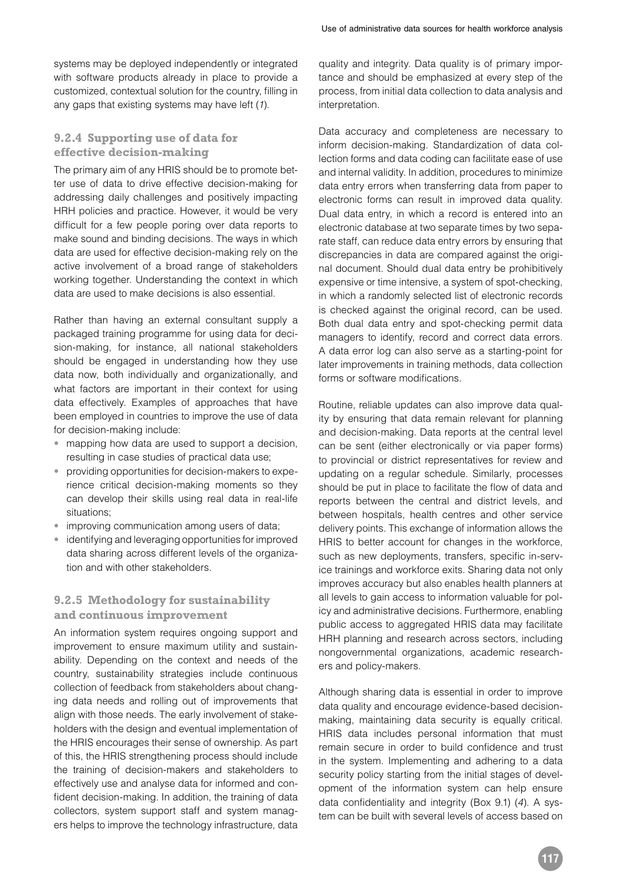systems may be deployed independently or integrated with software products already in place to provide a customized, contextual solution for the country, filling in any gaps that existing systems may have left (1).

### **9.2.4 Supporting use of data for effective decision-making**

The primary aim of any HRIS should be to promote better use of data to drive effective decision-making for addressing daily challenges and positively impacting HRH policies and practice. However, it would be very difficult for a few people poring over data reports to make sound and binding decisions. The ways in which data are used for effective decision-making rely on the active involvement of a broad range of stakeholders working together. Understanding the context in which data are used to make decisions is also essential.

Rather than having an external consultant supply a packaged training programme for using data for decision-making, for instance, all national stakeholders should be engaged in understanding how they use data now, both individually and organizationally, and what factors are important in their context for using data effectively. Examples of approaches that have been employed in countries to improve the use of data for decision-making include:

- mapping how data are used to support a decision, resulting in case studies of practical data use;
- providing opportunities for decision-makers to experience critical decision-making moments so they can develop their skills using real data in real-life situations;
- improving communication among users of data;
- identifying and leveraging opportunities for improved data sharing across different levels of the organization and with other stakeholders.

#### **9.2.5 Methodology for sustainability and continuous improvement**

An information system requires ongoing support and improvement to ensure maximum utility and sustainability. Depending on the context and needs of the country, sustainability strategies include continuous collection of feedback from stakeholders about changing data needs and rolling out of improvements that align with those needs. The early involvement of stakeholders with the design and eventual implementation of the HRIS encourages their sense of ownership. As part of this, the HRIS strengthening process should include the training of decision-makers and stakeholders to effectively use and analyse data for informed and confident decision-making. In addition, the training of data collectors, system support staff and system managers helps to improve the technology infrastructure, data

quality and integrity. Data quality is of primary importance and should be emphasized at every step of the process, from initial data collection to data analysis and interpretation.

Data accuracy and completeness are necessary to inform decision-making. Standardization of data collection forms and data coding can facilitate ease of use and internal validity. In addition, procedures to minimize data entry errors when transferring data from paper to electronic forms can result in improved data quality. Dual data entry, in which a record is entered into an electronic database at two separate times by two separate staff, can reduce data entry errors by ensuring that discrepancies in data are compared against the original document. Should dual data entry be prohibitively expensive or time intensive, a system of spot-checking, in which a randomly selected list of electronic records is checked against the original record, can be used. Both dual data entry and spot-checking permit data managers to identify, record and correct data errors. A data error log can also serve as a starting-point for later improvements in training methods, data collection forms or software modifications.

Routine, reliable updates can also improve data quality by ensuring that data remain relevant for planning and decision-making. Data reports at the central level can be sent (either electronically or via paper forms) to provincial or district representatives for review and updating on a regular schedule. Similarly, processes should be put in place to facilitate the flow of data and reports between the central and district levels, and between hospitals, health centres and other service delivery points. This exchange of information allows the HRIS to better account for changes in the workforce, such as new deployments, transfers, specific in-service trainings and workforce exits. Sharing data not only improves accuracy but also enables health planners at all levels to gain access to information valuable for policy and administrative decisions. Furthermore, enabling public access to aggregated HRIS data may facilitate HRH planning and research across sectors, including nongovernmental organizations, academic researchers and policy-makers.

Although sharing data is essential in order to improve data quality and encourage evidence-based decisionmaking, maintaining data security is equally critical. HRIS data includes personal information that must remain secure in order to build confidence and trust in the system. Implementing and adhering to a data security policy starting from the initial stages of development of the information system can help ensure data confidentiality and integrity (Box 9.1) (4). A system can be built with several levels of access based on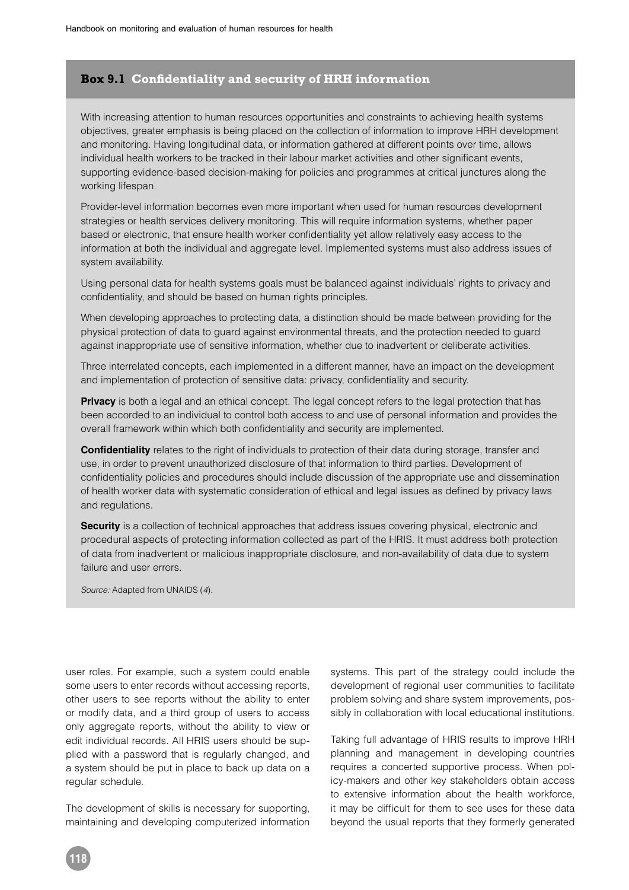#### **Box 9.1 Confidentiality and security of HRH information**

With increasing attention to human resources opportunities and constraints to achieving health systems objectives, greater emphasis is being placed on the collection of information to improve HRH development and monitoring. Having longitudinal data, or information gathered at different points over time, allows individual health workers to be tracked in their labour market activities and other significant events, supporting evidence-based decision-making for policies and programmes at critical junctures along the working lifespan.

Provider-level information becomes even more important when used for human resources development strategies or health services delivery monitoring. This will require information systems, whether paper based or electronic, that ensure health worker confidentiality yet allow relatively easy access to the information at both the individual and aggregate level. Implemented systems must also address issues of system availability.

Using personal data for health systems goals must be balanced against individuals' rights to privacy and confidentiality, and should be based on human rights principles.

When developing approaches to protecting data, a distinction should be made between providing for the physical protection of data to guard against environmental threats, and the protection needed to guard against inappropriate use of sensitive information, whether due to inadvertent or deliberate activities.

Three interrelated concepts, each implemented in a different manner, have an impact on the development and implementation of protection of sensitive data: privacy, confidentiality and security.

**Privacy** is both a legal and an ethical concept. The legal concept refers to the legal protection that has been accorded to an individual to control both access to and use of personal information and provides the overall framework within which both confidentiality and security are implemented.

**Confidentiality** relates to the right of individuals to protection of their data during storage, transfer and use, in order to prevent unauthorized disclosure of that information to third parties. Development of confidentiality policies and procedures should include discussion of the appropriate use and dissemination of health worker data with systematic consideration of ethical and legal issues as defined by privacy laws and regulations.

**Security** is a collection of technical approaches that address issues covering physical, electronic and procedural aspects of protecting information collected as part of the HRIS. It must address both protection of data from inadvertent or malicious inappropriate disclosure, and non-availability of data due to system failure and user errors.

Source: Adapted from UNAIDS (4).

user roles. For example, such a system could enable some users to enter records without accessing reports, other users to see reports without the ability to enter or modify data, and a third group of users to access only aggregate reports, without the ability to view or edit individual records. All HRIS users should be supplied with a password that is regularly changed, and a system should be put in place to back up data on a regular schedule.

The development of skills is necessary for supporting, maintaining and developing computerized information systems. This part of the strategy could include the development of regional user communities to facilitate problem solving and share system improvements, possibly in collaboration with local educational institutions.

Taking full advantage of HRIS results to improve HRH planning and management in developing countries requires a concerted supportive process. When policy-makers and other key stakeholders obtain access to extensive information about the health workforce, it may be difficult for them to see uses for these data beyond the usual reports that they formerly generated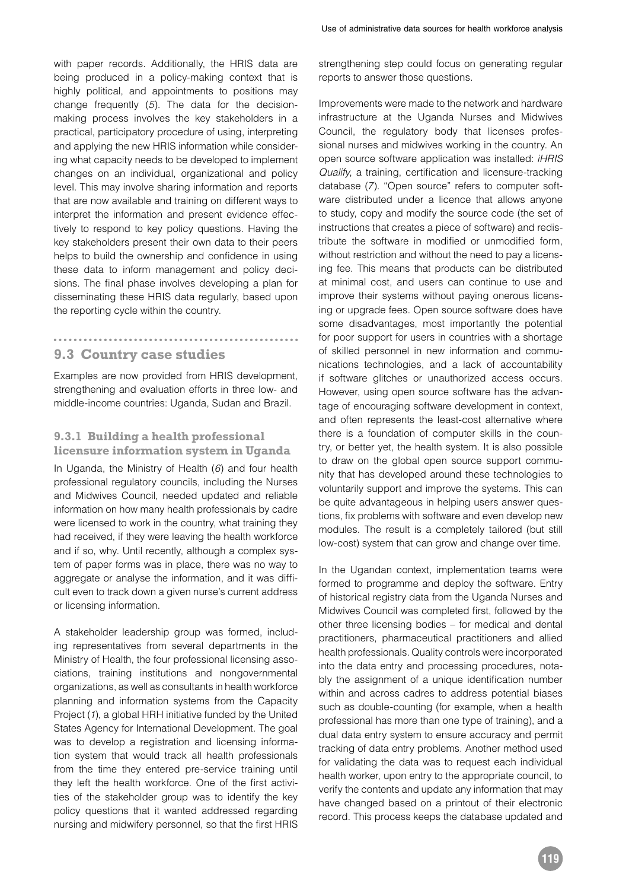with paper records. Additionally, the HRIS data are being produced in a policy-making context that is highly political, and appointments to positions may change frequently  $(5)$ . The data for the decisionmaking process involves the key stakeholders in a practical, participatory procedure of using, interpreting and applying the new HRIS information while considering what capacity needs to be developed to implement changes on an individual, organizational and policy level. This may involve sharing information and reports that are now available and training on different ways to interpret the information and present evidence effectively to respond to key policy questions. Having the key stakeholders present their own data to their peers helps to build the ownership and confidence in using these data to inform management and policy decisions. The final phase involves developing a plan for disseminating these HRIS data regularly, based upon the reporting cycle within the country.

# **9.3 Country case studies**

Examples are now provided from HRIS development, strengthening and evaluation efforts in three low- and middle-income countries: Uganda, Sudan and Brazil.

#### **9.3.1 Building a health professional licensure information system in Uganda**

In Uganda, the Ministry of Health  $(6)$  and four health professional regulatory councils, including the Nurses and Midwives Council, needed updated and reliable information on how many health professionals by cadre were licensed to work in the country, what training they had received, if they were leaving the health workforce and if so, why. Until recently, although a complex system of paper forms was in place, there was no way to aggregate or analyse the information, and it was difficult even to track down a given nurse's current address or licensing information.

A stakeholder leadership group was formed, including representatives from several departments in the Ministry of Health, the four professional licensing associations, training institutions and nongovernmental organizations, as well as consultants in health workforce planning and information systems from the Capacity Project (1), a global HRH initiative funded by the United States Agency for International Development. The goal was to develop a registration and licensing information system that would track all health professionals from the time they entered pre-service training until they left the health workforce. One of the first activities of the stakeholder group was to identify the key policy questions that it wanted addressed regarding nursing and midwifery personnel, so that the first HRIS strengthening step could focus on generating regular reports to answer those questions.

Improvements were made to the network and hardware infrastructure at the Uganda Nurses and Midwives Council, the regulatory body that licenses professional nurses and midwives working in the country. An open source software application was installed: iHRIS Qualify, a training, certification and licensure-tracking database (7). "Open source" refers to computer software distributed under a licence that allows anyone to study, copy and modify the source code (the set of instructions that creates a piece of software) and redistribute the software in modified or unmodified form, without restriction and without the need to pay a licensing fee. This means that products can be distributed at minimal cost, and users can continue to use and improve their systems without paying onerous licensing or upgrade fees. Open source software does have some disadvantages, most importantly the potential for poor support for users in countries with a shortage of skilled personnel in new information and communications technologies, and a lack of accountability if software glitches or unauthorized access occurs. However, using open source software has the advantage of encouraging software development in context, and often represents the least-cost alternative where there is a foundation of computer skills in the country, or better yet, the health system. It is also possible to draw on the global open source support community that has developed around these technologies to voluntarily support and improve the systems. This can be quite advantageous in helping users answer questions, fix problems with software and even develop new modules. The result is a completely tailored (but still low-cost) system that can grow and change over time.

In the Ugandan context, implementation teams were formed to programme and deploy the software. Entry of historical registry data from the Uganda Nurses and Midwives Council was completed first, followed by the other three licensing bodies – for medical and dental practitioners, pharmaceutical practitioners and allied health professionals. Quality controls were incorporated into the data entry and processing procedures, notably the assignment of a unique identification number within and across cadres to address potential biases such as double-counting (for example, when a health professional has more than one type of training), and a dual data entry system to ensure accuracy and permit tracking of data entry problems. Another method used for validating the data was to request each individual health worker, upon entry to the appropriate council, to verify the contents and update any information that may have changed based on a printout of their electronic record. This process keeps the database updated and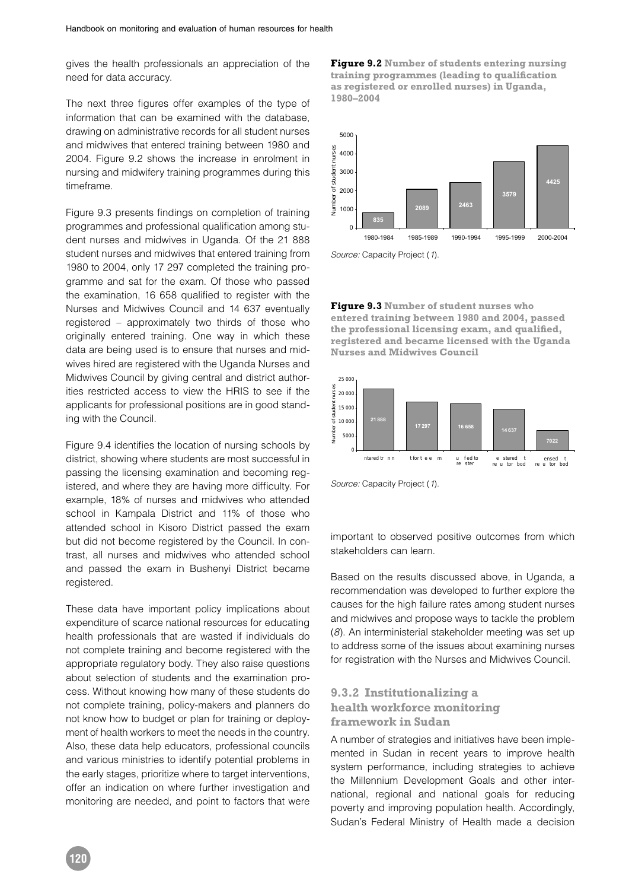gives the health professionals an appreciation of the need for data accuracy.

The next three figures offer examples of the type of information that can be examined with the database, drawing on administrative records for all student nurses and midwives that entered training between 1980 and 2004. Figure 9.2 shows the increase in enrolment in nursing and midwifery training programmes during this timeframe.

Figure 9.3 presents findings on completion of training programmes and professional qualification among student nurses and midwives in Uganda. Of the 21 888 student nurses and midwives that entered training from 1980 to 2004, only 17 297 completed the training programme and sat for the exam. Of those who passed the examination, 16 658 qualified to register with the Nurses and Midwives Council and 14 637 eventually registered – approximately two thirds of those who originally entered training. One way in which these data are being used is to ensure that nurses and midwives hired are registered with the Uganda Nurses and Midwives Council by giving central and district authorities restricted access to view the HRIS to see if the applicants for professional positions are in good standing with the Council.

Figure 9.4 identifies the location of nursing schools by district, showing where students are most successful in passing the licensing examination and becoming registered, and where they are having more difficulty. For example, 18% of nurses and midwives who attended school in Kampala District and 11% of those who attended school in Kisoro District passed the exam but did not become registered by the Council. In contrast, all nurses and midwives who attended school and passed the exam in Bushenyi District became registered.

These data have important policy implications about expenditure of scarce national resources for educating health professionals that are wasted if individuals do not complete training and become registered with the appropriate regulatory body. They also raise questions about selection of students and the examination process. Without knowing how many of these students do not complete training, policy-makers and planners do not know how to budget or plan for training or deployment of health workers to meet the needs in the country. Also, these data help educators, professional councils and various ministries to identify potential problems in the early stages, prioritize where to target interventions, offer an indication on where further investigation and monitoring are needed, and point to factors that were





Source: Capacity Project (1).

**Figure 9.3 Number of student nurses who entered training between 1980 and 2004, passed the professional licensing exam, and qualified, registered and became licensed with the Uganda Nurses and Midwives Council**



Source: Capacity Project (1).

important to observed positive outcomes from which stakeholders can learn.

Based on the results discussed above, in Uganda, a recommendation was developed to further explore the causes for the high failure rates among student nurses and midwives and propose ways to tackle the problem (8). An interministerial stakeholder meeting was set up to address some of the issues about examining nurses for registration with the Nurses and Midwives Council.

#### **9.3.2 Institutionalizing a health workforce monitoring framework in Sudan**

A number of strategies and initiatives have been implemented in Sudan in recent years to improve health system performance, including strategies to achieve the Millennium Development Goals and other international, regional and national goals for reducing poverty and improving population health. Accordingly, Sudan's Federal Ministry of Health made a decision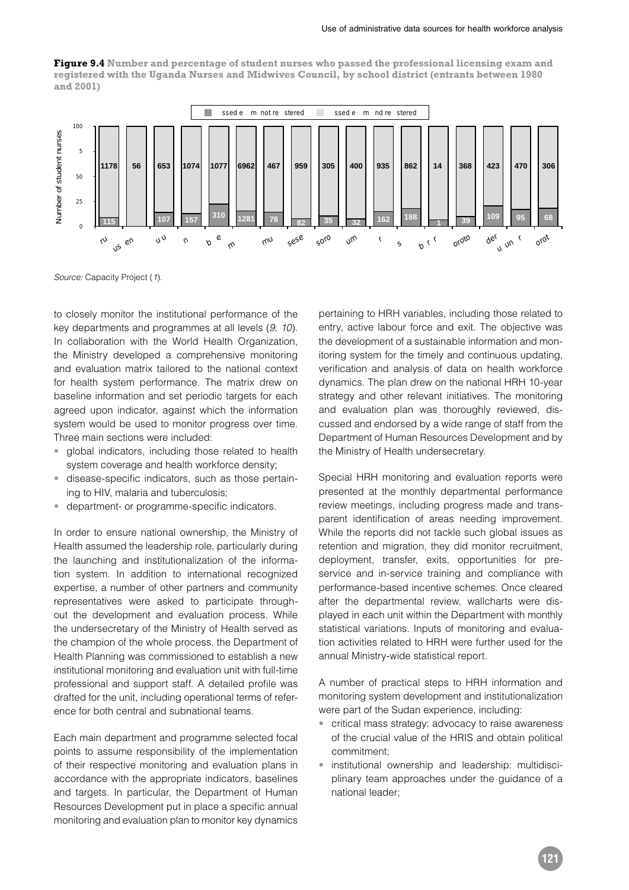**Figure 9.4 Number and percentage of student nurses who passed the professional licensing exam and registered with the Uganda Nurses and Midwives Council, by school district (entrants between 1980 and 2001)**



Source: Capacity Project (1).

to closely monitor the institutional performance of the key departments and programmes at all levels (9, 10). In collaboration with the World Health Organization, the Ministry developed a comprehensive monitoring and evaluation matrix tailored to the national context for health system performance. The matrix drew on baseline information and set periodic targets for each agreed upon indicator, against which the information system would be used to monitor progress over time. Three main sections were included:

- global indicators, including those related to health system coverage and health workforce density;
- disease-specific indicators, such as those pertaining to HIV, malaria and tuberculosis;
- department- or programme-specific indicators.

In order to ensure national ownership, the Ministry of Health assumed the leadership role, particularly during the launching and institutionalization of the information system. In addition to international recognized expertise, a number of other partners and community representatives were asked to participate throughout the development and evaluation process. While the undersecretary of the Ministry of Health served as the champion of the whole process, the Department of Health Planning was commissioned to establish a new institutional monitoring and evaluation unit with full-time professional and support staff. A detailed profile was drafted for the unit, including operational terms of reference for both central and subnational teams.

Each main department and programme selected focal points to assume responsibility of the implementation of their respective monitoring and evaluation plans in accordance with the appropriate indicators, baselines and targets. In particular, the Department of Human Resources Development put in place a specific annual monitoring and evaluation plan to monitor key dynamics

pertaining to HRH variables, including those related to entry, active labour force and exit. The objective was the development of a sustainable information and monitoring system for the timely and continuous updating, verification and analysis of data on health workforce dynamics. The plan drew on the national HRH 10-year strategy and other relevant initiatives. The monitoring and evaluation plan was thoroughly reviewed, discussed and endorsed by a wide range of staff from the Department of Human Resources Development and by the Ministry of Health undersecretary.

Special HRH monitoring and evaluation reports were presented at the monthly departmental performance review meetings, including progress made and transparent identification of areas needing improvement. While the reports did not tackle such global issues as retention and migration, they did monitor recruitment, deployment, transfer, exits, opportunities for preservice and in-service training and compliance with performance-based incentive schemes. Once cleared after the departmental review, wallcharts were displayed in each unit within the Department with monthly statistical variations. Inputs of monitoring and evaluation activities related to HRH were further used for the annual Ministry-wide statistical report.

A number of practical steps to HRH information and monitoring system development and institutionalization were part of the Sudan experience, including:

- $\bullet$  critical mass strategy: advocacy to raise awareness of the crucial value of the HRIS and obtain political commitment;
- institutional ownership and leadership: multidisciplinary team approaches under the guidance of a national leader;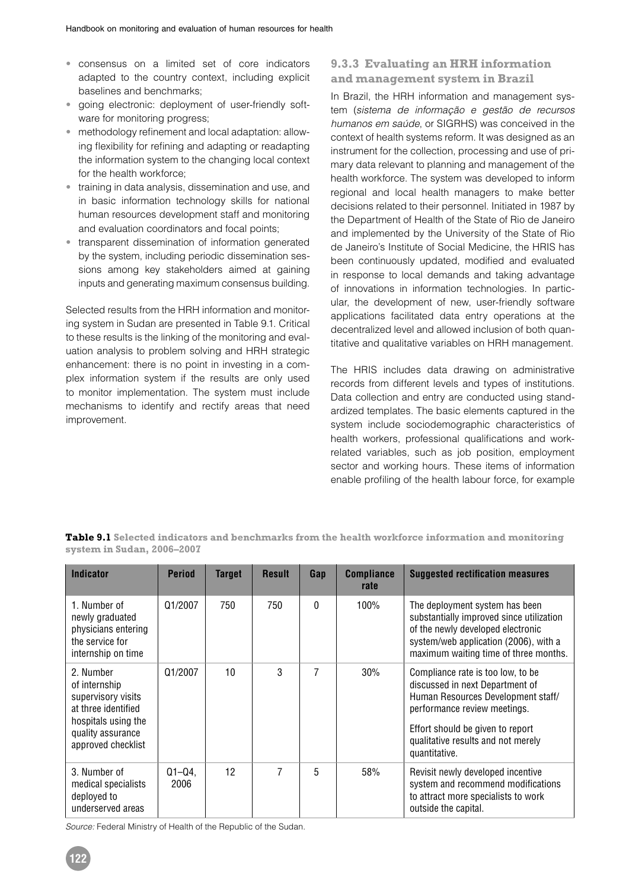- **•** consensus on a limited set of core indicators adapted to the country context, including explicit baselines and benchmarks;
- going electronic: deployment of user-friendly software for monitoring progress;
- methodology refinement and local adaptation: allowing flexibility for refining and adapting or readapting the information system to the changing local context for the health workforce;
- training in data analysis, dissemination and use, and in basic information technology skills for national human resources development staff and monitoring and evaluation coordinators and focal points;
- transparent dissemination of information generated by the system, including periodic dissemination sessions among key stakeholders aimed at gaining inputs and generating maximum consensus building.

Selected results from the HRH information and monitoring system in Sudan are presented in Table 9.1. Critical to these results is the linking of the monitoring and evaluation analysis to problem solving and HRH strategic enhancement: there is no point in investing in a complex information system if the results are only used to monitor implementation. The system must include mechanisms to identify and rectify areas that need improvement.

### **9.3.3 Evaluating an HRH information and management system in Brazil**

In Brazil, the HRH information and management system (sistema de informação e gestão de recursos humanos em saúde, or SIGRHS) was conceived in the context of health systems reform. It was designed as an instrument for the collection, processing and use of primary data relevant to planning and management of the health workforce. The system was developed to inform regional and local health managers to make better decisions related to their personnel. Initiated in 1987 by the Department of Health of the State of Rio de Janeiro and implemented by the University of the State of Rio de Janeiro's Institute of Social Medicine, the HRIS has been continuously updated, modified and evaluated in response to local demands and taking advantage of innovations in information technologies. In particular, the development of new, user-friendly software applications facilitated data entry operations at the decentralized level and allowed inclusion of both quantitative and qualitative variables on HRH management.

The HRIS includes data drawing on administrative records from different levels and types of institutions. Data collection and entry are conducted using standardized templates. The basic elements captured in the system include sociodemographic characteristics of health workers, professional qualifications and workrelated variables, such as job position, employment sector and working hours. These items of information enable profiling of the health labour force, for example

| <b>Indicator</b>                                                                                                                          | <b>Period</b>       | <b>Target</b> | <b>Result</b> | Gap      | <b>Compliance</b><br>rate | <b>Suggested rectification measures</b>                                                                                                                                                                                               |
|-------------------------------------------------------------------------------------------------------------------------------------------|---------------------|---------------|---------------|----------|---------------------------|---------------------------------------------------------------------------------------------------------------------------------------------------------------------------------------------------------------------------------------|
| 1. Number of<br>newly graduated<br>physicians entering<br>the service for<br>internship on time                                           | Q1/2007             | 750           | 750           | $\Omega$ | 100%                      | The deployment system has been<br>substantially improved since utilization<br>of the newly developed electronic<br>system/web application (2006), with a<br>maximum waiting time of three months.                                     |
| 2. Number<br>of internship<br>supervisory visits<br>at three identified<br>hospitals using the<br>quality assurance<br>approved checklist | 01/2007             | 10            | 3             | 7        | 30%                       | Compliance rate is too low, to be<br>discussed in next Department of<br>Human Resources Development staff/<br>performance review meetings.<br>Effort should be given to report<br>qualitative results and not merely<br>quantitative. |
| 3. Number of<br>medical specialists<br>deployed to<br>underserved areas                                                                   | $Q1 - Q4$ ,<br>2006 | 12            | 7             | 5        | 58%                       | Revisit newly developed incentive<br>system and recommend modifications<br>to attract more specialists to work<br>outside the capital.                                                                                                |

**Table 9.1 Selected indicators and benchmarks from the health workforce information and monitoring system in Sudan, 2006–2007**

Source: Federal Ministry of Health of the Republic of the Sudan.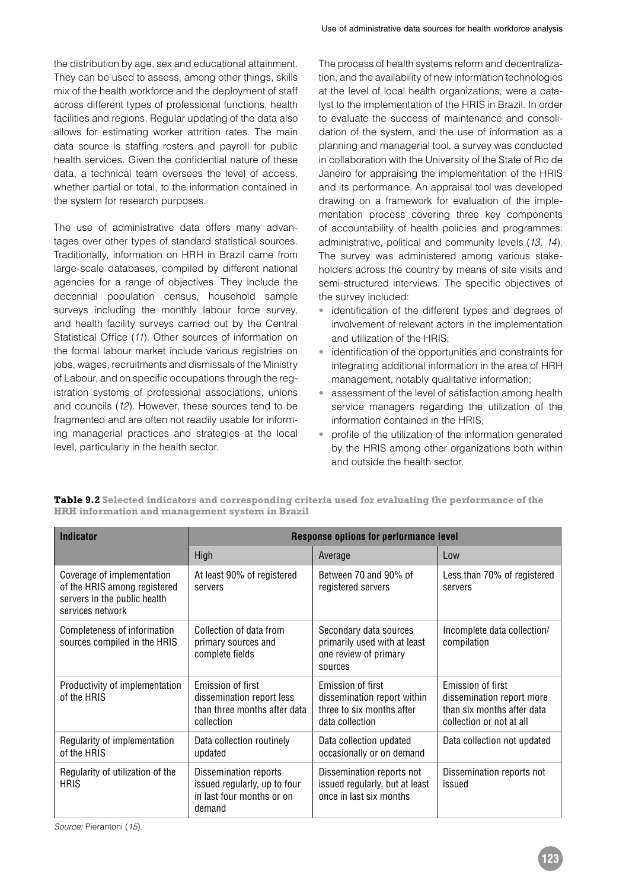the distribution by age, sex and educational attainment. They can be used to assess, among other things, skills mix of the health workforce and the deployment of staff across different types of professional functions, health facilities and regions. Regular updating of the data also allows for estimating worker attrition rates. The main data source is staffing rosters and payroll for public health services. Given the confidential nature of these data, a technical team oversees the level of access, whether partial or total, to the information contained in the system for research purposes.

The use of administrative data offers many advantages over other types of standard statistical sources. Traditionally, information on HRH in Brazil came from large-scale databases, compiled by different national agencies for a range of objectives. They include the decennial population census, household sample surveys including the monthly labour force survey, and health facility surveys carried out by the Central Statistical Office (11). Other sources of information on the formal labour market include various registries on jobs, wages, recruitments and dismissals of the Ministry of Labour, and on specific occupations through the registration systems of professional associations, unions and councils (12). However, these sources tend to be fragmented and are often not readily usable for informing managerial practices and strategies at the local level, particularly in the health sector.

The process of health systems reform and decentralization, and the availability of new information technologies at the level of local health organizations, were a catalyst to the implementation of the HRIS in Brazil. In order to evaluate the success of maintenance and consolidation of the system, and the use of information as a planning and managerial tool, a survey was conducted in collaboration with the University of the State of Rio de Janeiro for appraising the implementation of the HRIS and its performance. An appraisal tool was developed drawing on a framework for evaluation of the implementation process covering three key components of accountability of health policies and programmes: administrative, political and community levels (13, 14). The survey was administered among various stakeholders across the country by means of site visits and semi-structured interviews. The specific objectives of the survey included:

- identification of the different types and degrees of involvement of relevant actors in the implementation and utilization of the HRIS;
- identification of the opportunities and constraints for integrating additional information in the area of HRH management, notably qualitative information;
- assessment of the level of satisfaction among health service managers regarding the utilization of the information contained in the HRIS;
- profile of the utilization of the information generated by the HRIS among other organizations both within and outside the health sector.

| <b>Indicator</b>                                                                                               | <b>Response options for performance level</b>                                                |                                                                                                         |                                                                                                                 |  |  |  |
|----------------------------------------------------------------------------------------------------------------|----------------------------------------------------------------------------------------------|---------------------------------------------------------------------------------------------------------|-----------------------------------------------------------------------------------------------------------------|--|--|--|
|                                                                                                                | <b>High</b>                                                                                  | Average                                                                                                 | Low                                                                                                             |  |  |  |
| Coverage of implementation<br>of the HRIS among registered<br>servers in the public health<br>services network | At least 90% of registered<br>servers                                                        | Between 70 and 90% of<br>registered servers                                                             | Less than 70% of registered<br>servers                                                                          |  |  |  |
| Completeness of information<br>sources compiled in the HRIS                                                    | Collection of data from<br>primary sources and<br>complete fields                            | Secondary data sources<br>primarily used with at least<br>one review of primary<br>sources              | Incomplete data collection/<br>compilation                                                                      |  |  |  |
| Productivity of implementation<br>of the HRIS                                                                  | Emission of first<br>dissemination report less<br>than three months after data<br>collection | <b>Emission of first</b><br>dissemination report within<br>three to six months after<br>data collection | <b>Emission of first</b><br>dissemination report more<br>than six months after data<br>collection or not at all |  |  |  |
| Regularity of implementation<br>of the HRIS                                                                    | Data collection routinely<br>updated                                                         | Data collection updated<br>occasionally or on demand                                                    | Data collection not updated                                                                                     |  |  |  |
| Regularity of utilization of the<br><b>HRIS</b>                                                                | Dissemination reports<br>issued regularly, up to four<br>in last four months or on<br>demand | Dissemination reports not<br>issued regularly, but at least<br>once in last six months                  | Dissemination reports not<br>issued                                                                             |  |  |  |

**Table 9.2 Selected indicators and corresponding criteria used for evaluating the performance of the HRH information and management system in Brazil**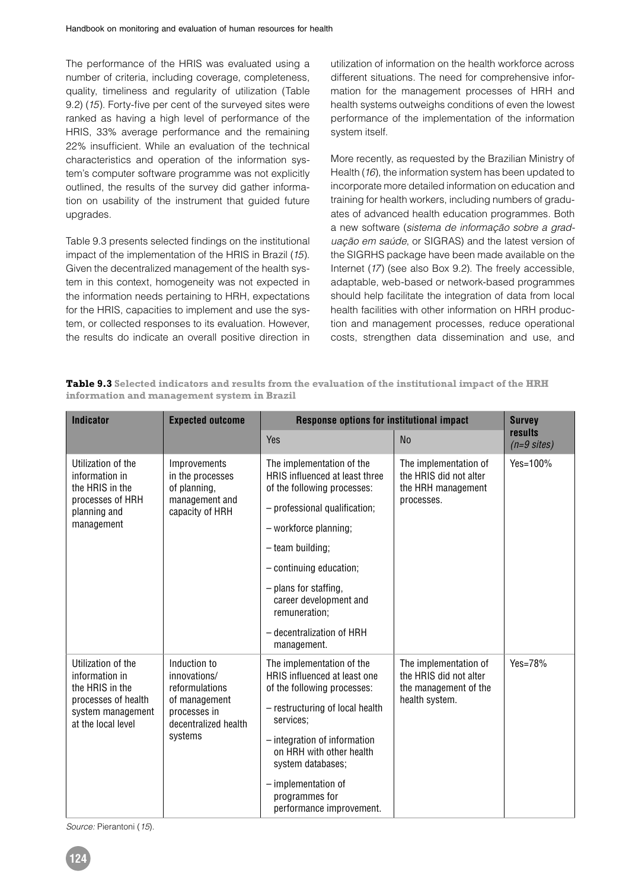The performance of the HRIS was evaluated using a number of criteria, including coverage, completeness, quality, timeliness and regularity of utilization (Table 9.2) (15). Forty-five per cent of the surveyed sites were ranked as having a high level of performance of the HRIS, 33% average performance and the remaining 22% insufficient. While an evaluation of the technical characteristics and operation of the information system's computer software programme was not explicitly outlined, the results of the survey did gather information on usability of the instrument that guided future upgrades.

Table 9.3 presents selected findings on the institutional impact of the implementation of the HRIS in Brazil (15). Given the decentralized management of the health system in this context, homogeneity was not expected in the information needs pertaining to HRH, expectations for the HRIS, capacities to implement and use the system, or collected responses to its evaluation. However, the results do indicate an overall positive direction in utilization of information on the health workforce across different situations. The need for comprehensive information for the management processes of HRH and health systems outweighs conditions of even the lowest performance of the implementation of the information system itself.

More recently, as requested by the Brazilian Ministry of Health (16), the information system has been updated to incorporate more detailed information on education and training for health workers, including numbers of graduates of advanced health education programmes. Both a new software (sistema de informação sobre a graduação em saúde, or SIGRAS) and the latest version of the SIGRHS package have been made available on the Internet (17) (see also Box 9.2). The freely accessible, adaptable, web-based or network-based programmes should help facilitate the integration of data from local health facilities with other information on HRH production and management processes, reduce operational costs, strengthen data dissemination and use, and

**Table 9.3 Selected indicators and results from the evaluation of the institutional impact of the HRH information and management system in Brazil**

| <b>Indicator</b>                                                                                                          | <b>Expected outcome</b>                                                                                            | Response options for institutional impact                                                                                                                                                                                                                                                                             | <b>Survey</b>                                                                              |                          |  |
|---------------------------------------------------------------------------------------------------------------------------|--------------------------------------------------------------------------------------------------------------------|-----------------------------------------------------------------------------------------------------------------------------------------------------------------------------------------------------------------------------------------------------------------------------------------------------------------------|--------------------------------------------------------------------------------------------|--------------------------|--|
|                                                                                                                           |                                                                                                                    | Yes                                                                                                                                                                                                                                                                                                                   | <b>No</b>                                                                                  | results<br>$(n=9$ sites) |  |
| Utilization of the<br>information in<br>the HRIS in the<br>processes of HRH<br>planning and<br>management                 | Improvements<br>in the processes<br>of planning,<br>management and<br>capacity of HRH                              | The implementation of the<br>HRIS influenced at least three<br>of the following processes:<br>- professional qualification;<br>- workforce planning;<br>- team building;<br>$-$ continuing education;<br>- plans for staffing,<br>career development and<br>remuneration;<br>- decentralization of HRH<br>management. | The implementation of<br>the HRIS did not alter<br>the HRH management<br>processes.        | Yes=100%                 |  |
| Utilization of the<br>information in<br>the HRIS in the<br>processes of health<br>system management<br>at the local level | Induction to<br>innovations/<br>reformulations<br>of management<br>processes in<br>decentralized health<br>systems | The implementation of the<br>HRIS influenced at least one<br>of the following processes:<br>- restructuring of local health<br>services;<br>- integration of information<br>on HRH with other health<br>system databases;<br>- implementation of<br>programmes for<br>performance improvement.                        | The implementation of<br>the HRIS did not alter<br>the management of the<br>health system. | Yes= $78%$               |  |

Source: Pierantoni (15).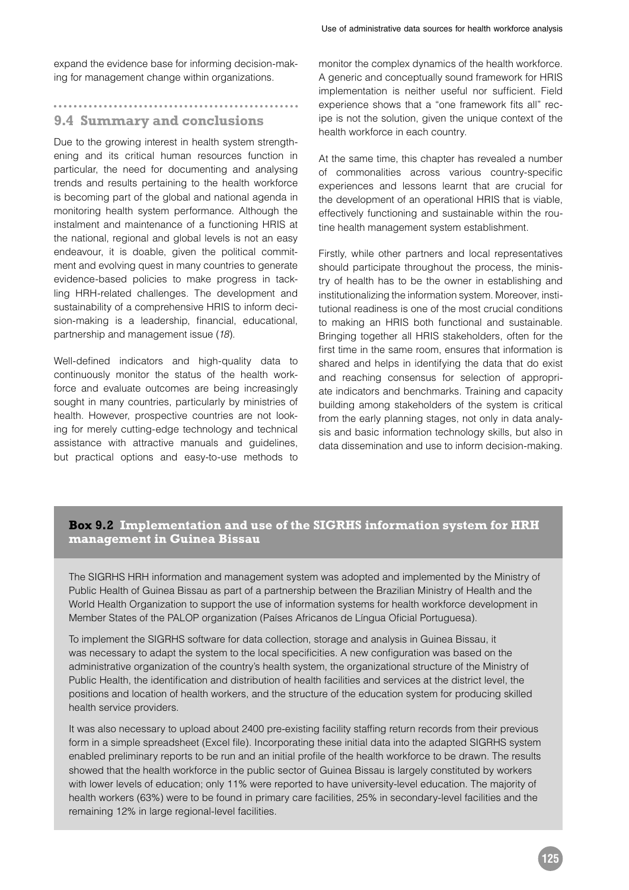expand the evidence base for informing decision-making for management change within organizations.

# **9.4 Summary and conclusions**

Due to the growing interest in health system strengthening and its critical human resources function in particular, the need for documenting and analysing trends and results pertaining to the health workforce is becoming part of the global and national agenda in monitoring health system performance. Although the instalment and maintenance of a functioning HRIS at the national, regional and global levels is not an easy endeavour, it is doable, given the political commitment and evolving quest in many countries to generate evidence-based policies to make progress in tackling HRH-related challenges. The development and sustainability of a comprehensive HRIS to inform decision-making is a leadership, financial, educational, partnership and management issue (18).

Well-defined indicators and high-quality data to continuously monitor the status of the health workforce and evaluate outcomes are being increasingly sought in many countries, particularly by ministries of health. However, prospective countries are not looking for merely cutting-edge technology and technical assistance with attractive manuals and guidelines, but practical options and easy-to-use methods to

monitor the complex dynamics of the health workforce. A generic and conceptually sound framework for HRIS implementation is neither useful nor sufficient. Field experience shows that a "one framework fits all" recipe is not the solution, given the unique context of the health workforce in each country.

At the same time, this chapter has revealed a number of commonalities across various country-specific experiences and lessons learnt that are crucial for the development of an operational HRIS that is viable, effectively functioning and sustainable within the routine health management system establishment.

Firstly, while other partners and local representatives should participate throughout the process, the ministry of health has to be the owner in establishing and institutionalizing the information system. Moreover, institutional readiness is one of the most crucial conditions to making an HRIS both functional and sustainable. Bringing together all HRIS stakeholders, often for the first time in the same room, ensures that information is shared and helps in identifying the data that do exist and reaching consensus for selection of appropriate indicators and benchmarks. Training and capacity building among stakeholders of the system is critical from the early planning stages, not only in data analysis and basic information technology skills, but also in data dissemination and use to inform decision-making.

## **Box 9.2 Implementation and use of the SIGRHS information system for HRH management in Guinea Bissau**

The SIGRHS HRH information and management system was adopted and implemented by the Ministry of Public Health of Guinea Bissau as part of a partnership between the Brazilian Ministry of Health and the World Health Organization to support the use of information systems for health workforce development in Member States of the PALOP organization (Países Africanos de Língua Oficial Portuguesa).

To implement the SIGRHS software for data collection, storage and analysis in Guinea Bissau, it was necessary to adapt the system to the local specificities. A new configuration was based on the administrative organization of the country's health system, the organizational structure of the Ministry of Public Health, the identification and distribution of health facilities and services at the district level, the positions and location of health workers, and the structure of the education system for producing skilled health service providers.

It was also necessary to upload about 2400 pre-existing facility staffing return records from their previous form in a simple spreadsheet (Excel file). Incorporating these initial data into the adapted SIGRHS system enabled preliminary reports to be run and an initial profile of the health workforce to be drawn. The results showed that the health workforce in the public sector of Guinea Bissau is largely constituted by workers with lower levels of education; only 11% were reported to have university-level education. The majority of health workers (63%) were to be found in primary care facilities, 25% in secondary-level facilities and the remaining 12% in large regional-level facilities.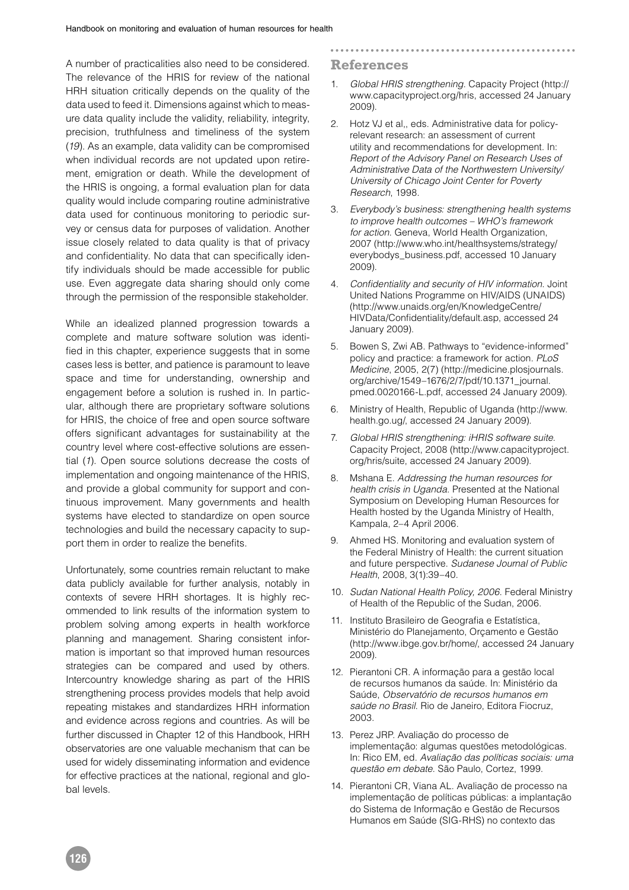A number of practicalities also need to be considered. The relevance of the HRIS for review of the national HRH situation critically depends on the quality of the data used to feed it. Dimensions against which to measure data quality include the validity, reliability, integrity, precision, truthfulness and timeliness of the system (19). As an example, data validity can be compromised when individual records are not updated upon retirement, emigration or death. While the development of the HRIS is ongoing, a formal evaluation plan for data quality would include comparing routine administrative data used for continuous monitoring to periodic survey or census data for purposes of validation. Another issue closely related to data quality is that of privacy and confidentiality. No data that can specifically identify individuals should be made accessible for public use. Even aggregate data sharing should only come through the permission of the responsible stakeholder.

While an idealized planned progression towards a complete and mature software solution was identified in this chapter, experience suggests that in some cases less is better, and patience is paramount to leave space and time for understanding, ownership and engagement before a solution is rushed in. In particular, although there are proprietary software solutions for HRIS, the choice of free and open source software offers significant advantages for sustainability at the country level where cost-effective solutions are essential (1). Open source solutions decrease the costs of implementation and ongoing maintenance of the HRIS, and provide a global community for support and continuous improvement. Many governments and health systems have elected to standardize on open source technologies and build the necessary capacity to support them in order to realize the benefits.

Unfortunately, some countries remain reluctant to make data publicly available for further analysis, notably in contexts of severe HRH shortages. It is highly recommended to link results of the information system to problem solving among experts in health workforce planning and management. Sharing consistent information is important so that improved human resources strategies can be compared and used by others. Intercountry knowledge sharing as part of the HRIS strengthening process provides models that help avoid repeating mistakes and standardizes HRH information and evidence across regions and countries. As will be further discussed in Chapter 12 of this Handbook, HRH observatories are one valuable mechanism that can be used for widely disseminating information and evidence for effective practices at the national, regional and global levels.

#### **References**

1. Global HRIS strengthening. Capacity Project (http:// www.capacityproject.org/hris, accessed 24 January 2009).

- 2. Hotz VJ et al,, eds. Administrative data for policyrelevant research: an assessment of current utility and recommendations for development. In: Report of the Advisory Panel on Research Uses of Administrative Data of the Northwestern University/ University of Chicago Joint Center for Poverty Research, 1998.
- 3. Everybody's business: strengthening health systems to improve health outcomes – WHO's framework for action. Geneva, World Health Organization, 2007 (http://www.who.int/healthsystems/strategy/ everybodys\_business.pdf, accessed 10 January 2009).
- 4. Confidentiality and security of HIV information. Joint United Nations Programme on HIV/AIDS (UNAIDS) (http://www.unaids.org/en/KnowledgeCentre/ HIVData/Confidentiality/default.asp, accessed 24 January 2009).
- 5. Bowen S, Zwi AB. Pathways to "evidence-informed" policy and practice: a framework for action. PLoS Medicine, 2005, 2(7) (http://medicine.plosjournals. org/archive/1549–1676/2/7/pdf/10.1371\_journal. pmed.0020166-L.pdf, accessed 24 January 2009).
- 6. Ministry of Health, Republic of Uganda (http://www. health.go.ug/, accessed 24 January 2009).
- 7. Global HRIS strengthening: iHRIS software suite. Capacity Project, 2008 (http://www.capacityproject. org/hris/suite, accessed 24 January 2009).
- 8. Mshana E. Addressing the human resources for health crisis in Uganda. Presented at the National Symposium on Developing Human Resources for Health hosted by the Uganda Ministry of Health, Kampala, 2–4 April 2006.
- 9. Ahmed HS. Monitoring and evaluation system of the Federal Ministry of Health: the current situation and future perspective. Sudanese Journal of Public Health, 2008, 3(1):39–40.
- 10. Sudan National Health Policy, 2006. Federal Ministry of Health of the Republic of the Sudan, 2006.
- 11. Instituto Brasileiro de Geografia e Estatística, Ministério do Planejamento, Orçamento e Gestão (http://www.ibge.gov.br/home/, accessed 24 January 2009).
- 12. Pierantoni CR. A informação para a gestão local de recursos humanos da saúde. In: Ministério da Saúde, Observatório de recursos humanos em saúde no Brasil. Rio de Janeiro, Editora Fiocruz, 2003.
- 13. Perez JRP. Avaliação do processo de implementação: algumas questões metodológicas. In: Rico EM, ed. Avaliação das políticas sociais: uma questão em debate. São Paulo, Cortez, 1999.
- 14. Pierantoni CR, Viana AL. Avaliação de processo na implementação de políticas públicas: a implantação do Sistema de Informação e Gestão de Recursos Humanos em Saúde (SIG-RHS) no contexto das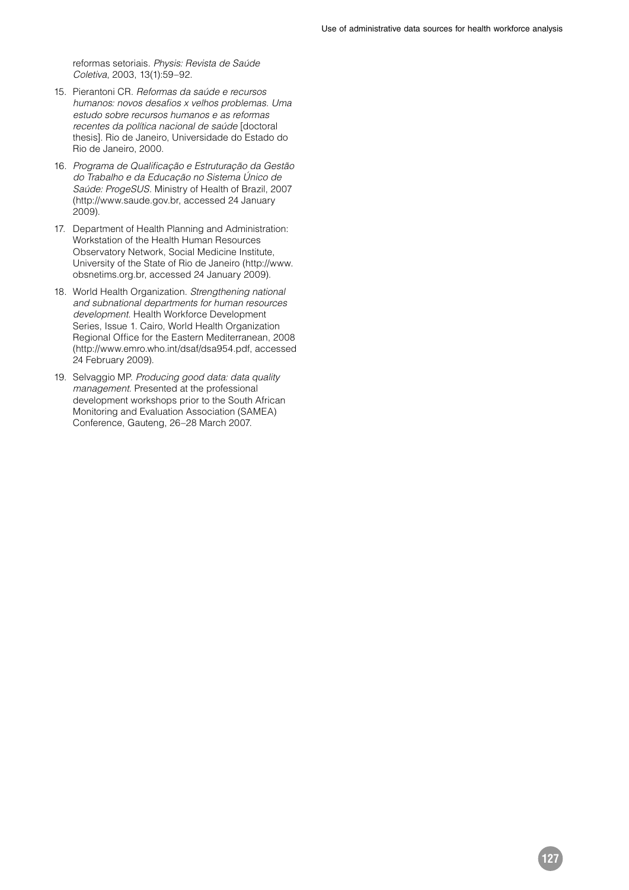reformas setoriais. Physis: Revista de Saúde Coletiva, 2003, 13(1):59–92.

- 15. Pierantoni CR. Reformas da saúde e recursos humanos: novos desafios x velhos problemas. Uma estudo sobre recursos humanos e as reformas recentes da política nacional de saúde [doctoral thesis]. Rio de Janeiro, Universidade do Estado do Rio de Janeiro, 2000.
- 16. Programa de Qualificação e Estruturação da Gestão do Trabalho e da Educação no Sistema Único de Saúde: ProgeSUS. Ministry of Health of Brazil, 2007 (http://www.saude.gov.br, accessed 24 January 2009).
- 17. Department of Health Planning and Administration: Workstation of the Health Human Resources Observatory Network, Social Medicine Institute, University of the State of Rio de Janeiro (http://www. obsnetims.org.br, accessed 24 January 2009).
- 18. World Health Organization. Strengthening national and subnational departments for human resources development. Health Workforce Development Series, Issue 1. Cairo, World Health Organization Regional Office for the Eastern Mediterranean, 2008 (http://www.emro.who.int/dsaf/dsa954.pdf, accessed 24 February 2009).
- 19. Selvaggio MP. Producing good data: data quality management. Presented at the professional development workshops prior to the South African Monitoring and Evaluation Association (SAMEA) Conference, Gauteng, 26–28 March 2007.